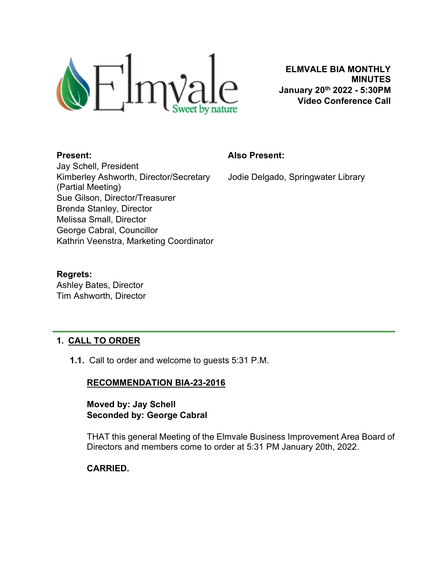

ELMVALE BIA MONTHLY MINUTES January 20th 2022 - 5:30PM Video Conference Call

#### Present:

#### Also Present:

Jodie Delgado, Springwater Library

Jay Schell, President Kimberley Ashworth, Director/Secretary (Partial Meeting) Sue Gilson, Director/Treasurer Brenda Stanley, Director Melissa Small, Director George Cabral, Councillor Kathrin Veenstra, Marketing Coordinator

#### Regrets:

Ashley Bates, Director Tim Ashworth, Director

## 1. CALL TO ORDER

1.1. Call to order and welcome to guests 5:31 P.M.

## RECOMMENDATION BIA-23-2016

## Moved by: Jay Schell Seconded by: George Cabral

THAT this general Meeting of the Elmvale Business Improvement Area Board of Directors and members come to order at 5:31 PM January 20th, 2022.

## CARRIED.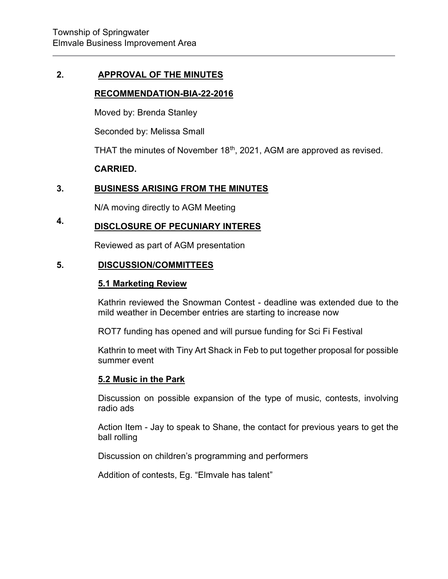#### 2. APPROVAL OF THE MINUTES

#### RECOMMENDATION-BIA-22-2016

Moved by: Brenda Stanley

Seconded by: Melissa Small

THAT the minutes of November  $18<sup>th</sup>$ , 2021, AGM are approved as revised.

#### CARRIED.

#### 3. BUSINESS ARISING FROM THE MINUTES

N/A moving directly to AGM Meeting

#### 4. DISCLOSURE OF PECUNIARY INTERES

Reviewed as part of AGM presentation

#### 5. DISCUSSION/COMMITTEES

#### 5.1 Marketing Review

Kathrin reviewed the Snowman Contest - deadline was extended due to the mild weather in December entries are starting to increase now

ROT7 funding has opened and will pursue funding for Sci Fi Festival

Kathrin to meet with Tiny Art Shack in Feb to put together proposal for possible summer event

#### 5.2 Music in the Park

Discussion on possible expansion of the type of music, contests, involving radio ads

Action Item - Jay to speak to Shane, the contact for previous years to get the ball rolling

Discussion on children's programming and performers

Addition of contests, Eg. "Elmvale has talent"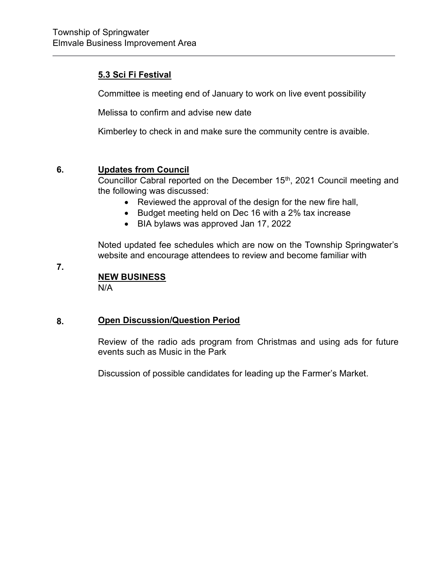## 5.3 Sci Fi Festival

Committee is meeting end of January to work on live event possibility

Melissa to confirm and advise new date

Kimberley to check in and make sure the community centre is avaible.

#### 6. Updates from Council

Councillor Cabral reported on the December 15<sup>th</sup>, 2021 Council meeting and the following was discussed:

- Reviewed the approval of the design for the new fire hall,
- Budget meeting held on Dec 16 with a 2% tax increase
- BIA bylaws was approved Jan 17, 2022

Noted updated fee schedules which are now on the Township Springwater's website and encourage attendees to review and become familiar with

7.

# NEW BUSINESS

N/A

#### 8. Open Discussion/Question Period

Review of the radio ads program from Christmas and using ads for future events such as Music in the Park

Discussion of possible candidates for leading up the Farmer's Market.